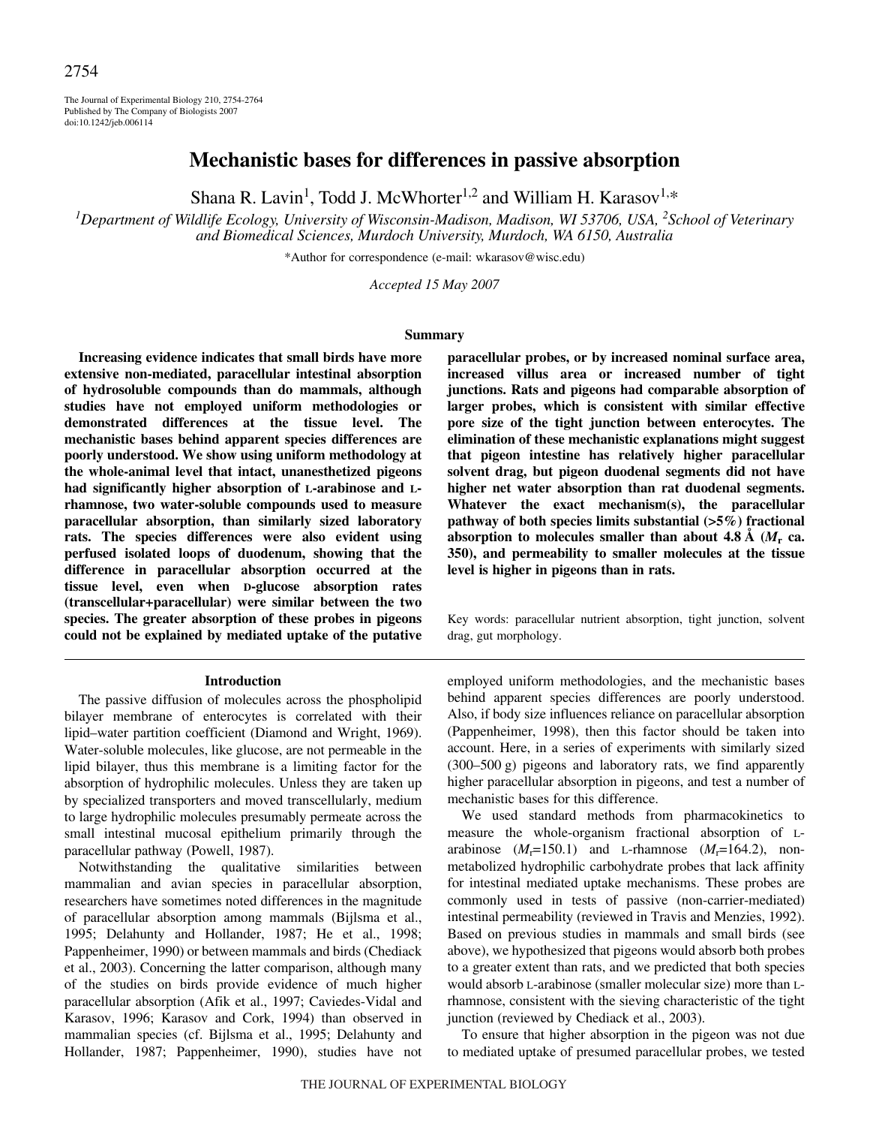The Journal of Experimental Biology 210, 2754-2764 Published by The Company of Biologists 2007 doi:10.1242/jeb.006114

# **Mechanistic bases for differences in passive absorption**

Shana R. Lavin<sup>1</sup>, Todd J. McWhorter<sup>1,2</sup> and William H. Karasov<sup>1,\*</sup>

*1 Department of Wildlife Ecology, University of Wisconsin-Madison, Madison, WI 53706, USA, 2 School of Veterinary and Biomedical Sciences, Murdoch University, Murdoch, WA 6150, Australia*

\*Author for correspondence (e-mail: wkarasov@wisc.edu)

*Accepted 15 May 2007*

#### **Summary**

**Increasing evidence indicates that small birds have more extensive non-mediated, paracellular intestinal absorption of hydrosoluble compounds than do mammals, although studies have not employed uniform methodologies or demonstrated differences at the tissue level. The mechanistic bases behind apparent species differences are poorly understood. We show using uniform methodology at the whole-animal level that intact, unanesthetized pigeons had significantly higher absorption of L-arabinose and Lrhamnose, two water-soluble compounds used to measure paracellular absorption, than similarly sized laboratory rats. The species differences were also evident using perfused isolated loops of duodenum, showing that the difference in paracellular absorption occurred at the tissue level, even when D-glucose absorption rates (transcellular+paracellular) were similar between the two species. The greater absorption of these probes in pigeons could not be explained by mediated uptake of the putative**

#### **Introduction**

The passive diffusion of molecules across the phospholipid bilayer membrane of enterocytes is correlated with their lipid–water partition coefficient (Diamond and Wright, 1969). Water-soluble molecules, like glucose, are not permeable in the lipid bilayer, thus this membrane is a limiting factor for the absorption of hydrophilic molecules. Unless they are taken up by specialized transporters and moved transcellularly, medium to large hydrophilic molecules presumably permeate across the small intestinal mucosal epithelium primarily through the paracellular pathway (Powell, 1987).

Notwithstanding the qualitative similarities between mammalian and avian species in paracellular absorption, researchers have sometimes noted differences in the magnitude of paracellular absorption among mammals (Bijlsma et al., 1995; Delahunty and Hollander, 1987; He et al., 1998; Pappenheimer, 1990) or between mammals and birds (Chediack et al., 2003). Concerning the latter comparison, although many of the studies on birds provide evidence of much higher paracellular absorption (Afik et al., 1997; Caviedes-Vidal and Karasov, 1996; Karasov and Cork, 1994) than observed in mammalian species (cf. Bijlsma et al., 1995; Delahunty and Hollander, 1987; Pappenheimer, 1990), studies have not **paracellular probes, or by increased nominal surface area, increased villus area or increased number of tight junctions. Rats and pigeons had comparable absorption of larger probes, which is consistent with similar effective pore size of the tight junction between enterocytes. The elimination of these mechanistic explanations might suggest that pigeon intestine has relatively higher paracellular solvent drag, but pigeon duodenal segments did not have higher net water absorption than rat duodenal segments. Whatever the exact mechanism(s), the paracellular pathway of both species limits substantial (>5%) fractional** absorption to molecules smaller than about  $4.8 \text{ Å } (M_r \text{ ca.})$ **350), and permeability to smaller molecules at the tissue level is higher in pigeons than in rats.**

Key words: paracellular nutrient absorption, tight junction, solvent drag, gut morphology.

employed uniform methodologies, and the mechanistic bases behind apparent species differences are poorly understood. Also, if body size influences reliance on paracellular absorption (Pappenheimer, 1998), then this factor should be taken into account. Here, in a series of experiments with similarly sized  $(300-500 \text{ g})$  pigeons and laboratory rats, we find apparently higher paracellular absorption in pigeons, and test a number of mechanistic bases for this difference.

We used standard methods from pharmacokinetics to measure the whole-organism fractional absorption of Larabinose  $(M_r=150.1)$  and L-rhamnose  $(M_r=164.2)$ , nonmetabolized hydrophilic carbohydrate probes that lack affinity for intestinal mediated uptake mechanisms. These probes are commonly used in tests of passive (non-carrier-mediated) intestinal permeability (reviewed in Travis and Menzies, 1992). Based on previous studies in mammals and small birds (see above), we hypothesized that pigeons would absorb both probes to a greater extent than rats, and we predicted that both species would absorb L-arabinose (smaller molecular size) more than Lrhamnose, consistent with the sieving characteristic of the tight junction (reviewed by Chediack et al., 2003).

To ensure that higher absorption in the pigeon was not due to mediated uptake of presumed paracellular probes, we tested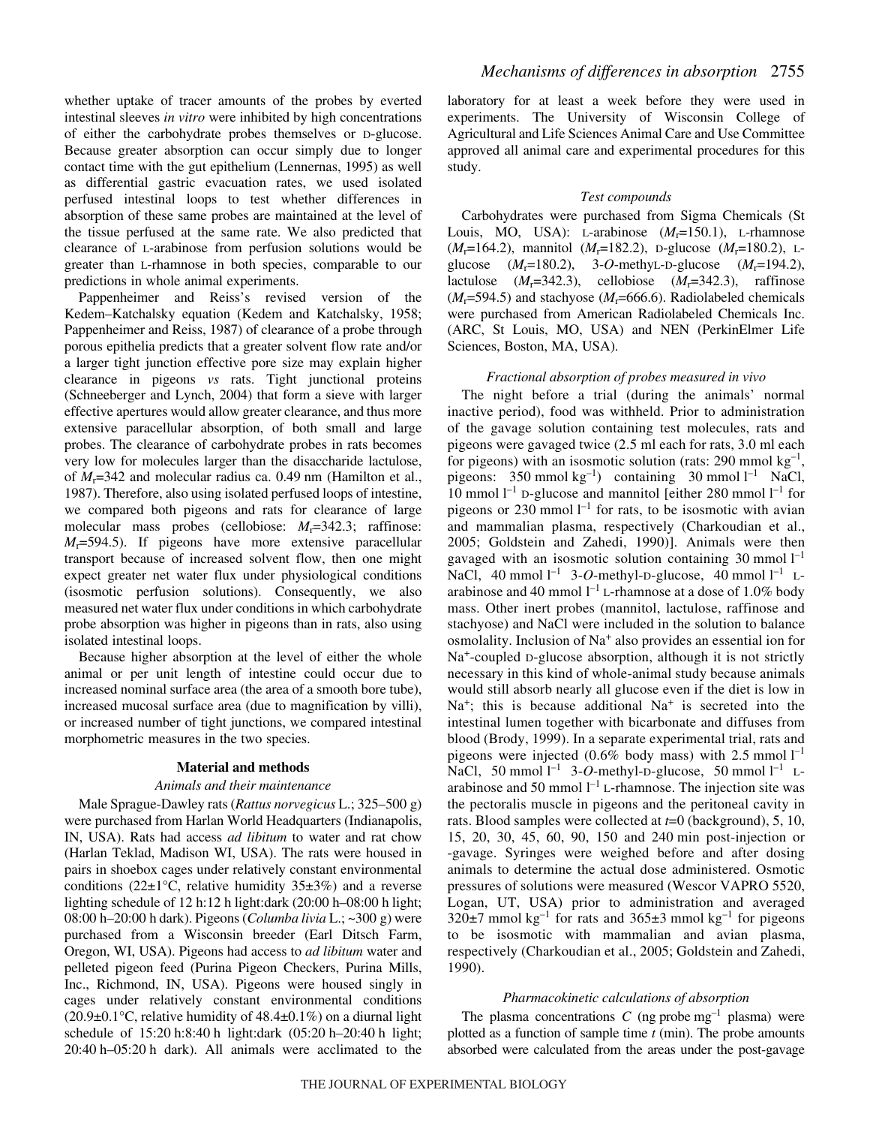whether uptake of tracer amounts of the probes by everted intestinal sleeves *in vitro* were inhibited by high concentrations of either the carbohydrate probes themselves or D-glucose. Because greater absorption can occur simply due to longer contact time with the gut epithelium (Lennernas, 1995) as well as differential gastric evacuation rates, we used isolated perfused intestinal loops to test whether differences in absorption of these same probes are maintained at the level of the tissue perfused at the same rate. We also predicted that clearance of L-arabinose from perfusion solutions would be greater than L-rhamnose in both species, comparable to our predictions in whole animal experiments.

Pappenheimer and Reiss's revised version of the Kedem–Katchalsky equation (Kedem and Katchalsky, 1958; Pappenheimer and Reiss, 1987) of clearance of a probe through porous epithelia predicts that a greater solvent flow rate and/or a larger tight junction effective pore size may explain higher clearance in pigeons *vs* rats. Tight junctional proteins (Schneeberger and Lynch, 2004) that form a sieve with larger effective apertures would allow greater clearance, and thus more extensive paracellular absorption, of both small and large probes. The clearance of carbohydrate probes in rats becomes very low for molecules larger than the disaccharide lactulose, of  $M_r$ =342 and molecular radius ca. 0.49 nm (Hamilton et al., 1987). Therefore, also using isolated perfused loops of intestine, we compared both pigeons and rats for clearance of large molecular mass probes (cellobiose:  $M_r$ =342.3; raffinose: *M*r=594.5). If pigeons have more extensive paracellular transport because of increased solvent flow, then one might expect greater net water flux under physiological conditions (isosmotic perfusion solutions). Consequently, we also measured net water flux under conditions in which carbohydrate probe absorption was higher in pigeons than in rats, also using isolated intestinal loops.

Because higher absorption at the level of either the whole animal or per unit length of intestine could occur due to increased nominal surface area (the area of a smooth bore tube), increased mucosal surface area (due to magnification by villi), or increased number of tight junctions, we compared intestinal morphometric measures in the two species.

#### **Material and methods**

#### *Animals and their maintenance*

Male Sprague-Dawley rats (*Rattus norvegicus* L.; 325–500·g) were purchased from Harlan World Headquarters (Indianapolis, IN, USA). Rats had access *ad libitum* to water and rat chow (Harlan Teklad, Madison WI, USA). The rats were housed in pairs in shoebox cages under relatively constant environmental conditions (22 $\pm$ 1°C, relative humidity 35 $\pm$ 3%) and a reverse lighting schedule of 12 h:12 h light:dark (20:00 h–08:00 h light; 08:00·h–20:00·h dark). Pigeons (*Columba livia* L.; ~300·g) were purchased from a Wisconsin breeder (Earl Ditsch Farm, Oregon, WI, USA). Pigeons had access to *ad libitum* water and pelleted pigeon feed (Purina Pigeon Checkers, Purina Mills, Inc., Richmond, IN, USA). Pigeons were housed singly in cages under relatively constant environmental conditions  $(20.9\pm0.1\degree C,$  relative humidity of  $48.4\pm0.1\%$  on a diurnal light schedule of 15:20 h:8:40 h light:dark (05:20 h–20:40 h light;  $20:40 h-05:20 h$  dark). All animals were acclimated to the

laboratory for at least a week before they were used in experiments. The University of Wisconsin College of Agricultural and Life Sciences Animal Care and Use Committee approved all animal care and experimental procedures for this study.

#### *Test compounds*

Carbohydrates were purchased from Sigma Chemicals (St Louis, MO, USA): L-arabinose  $(M_r=150.1)$ , L-rhamnose (*M*r=164.2), mannitol (*M*r=182.2), D-glucose (*M*r=180.2), Lglucose  $(M_r=180.2)$ , 3-*O*-methyL-D-glucose  $(M_r=194.2)$ , lactulose  $(M_r=342.3)$ , cellobiose  $(M_r=342.3)$ , raffinose  $(M_r=594.5)$  and stachyose  $(M_r=666.6)$ . Radiolabeled chemicals were purchased from American Radiolabeled Chemicals Inc. (ARC, St Louis, MO, USA) and NEN (PerkinElmer Life Sciences, Boston, MA, USA).

### *Fractional absorption of probes measured in vivo*

The night before a trial (during the animals' normal inactive period), food was withheld. Prior to administration of the gavage solution containing test molecules, rats and pigeons were gavaged twice (2.5 ml each for rats, 3.0 ml each for pigeons) with an isosmotic solution (rats: 290 mmol  $kg^{-1}$ , pigeons:  $350 \text{ mmol kg}^{-1}$  containing  $30 \text{ mmol } l^{-1}$  NaCl, 10 mmol  $l^{-1}$  D-glucose and mannitol [either 280 mmol  $l^{-1}$  for pigeons or 230 mmol  $l^{-1}$  for rats, to be isosmotic with avian and mammalian plasma, respectively (Charkoudian et al., 2005; Goldstein and Zahedi, 1990)]. Animals were then gavaged with an isosmotic solution containing  $30$  mmol  $l^{-1}$ NaCl,  $40 \text{ mmol } l^{-1}$  3-*O*-methyl-D-glucose,  $40 \text{ mmol } l^{-1}$  Larabinose and 40 mmol  $l^{-1}$  L-rhamnose at a dose of 1.0% body mass. Other inert probes (mannitol, lactulose, raffinose and stachyose) and NaCl were included in the solution to balance osmolality. Inclusion of Na<sup>+</sup> also provides an essential ion for Na<sup>+</sup>-coupled D-glucose absorption, although it is not strictly necessary in this kind of whole-animal study because animals would still absorb nearly all glucose even if the diet is low in  $Na<sup>+</sup>$ ; this is because additional  $Na<sup>+</sup>$  is secreted into the intestinal lumen together with bicarbonate and diffuses from blood (Brody, 1999). In a separate experimental trial, rats and pigeons were injected (0.6% body mass) with 2.5 mmol  $l^{-1}$ NaCl, 50 mmol  $l^{-1}$  3-*O*-methyl-D-glucose, 50 mmol  $l^{-1}$  Larabinose and 50 mmol  $l^{-1}$  L-rhamnose. The injection site was the pectoralis muscle in pigeons and the peritoneal cavity in rats. Blood samples were collected at *t*=0 (background), 5, 10, 15, 20, 30, 45, 60, 90, 150 and 240 min post-injection or -gavage. Syringes were weighed before and after dosing animals to determine the actual dose administered. Osmotic pressures of solutions were measured (Wescor VAPRO 5520, Logan, UT, USA) prior to administration and averaged  $320\pm7$  mmol kg<sup>-1</sup> for rats and  $365\pm3$  mmol kg<sup>-1</sup> for pigeons to be isosmotic with mammalian and avian plasma, respectively (Charkoudian et al., 2005; Goldstein and Zahedi, 1990).

#### *Pharmacokinetic calculations of absorption*

The plasma concentrations *C* (ng probe  $mg^{-1}$  plasma) were plotted as a function of sample time *t* (min). The probe amounts absorbed were calculated from the areas under the post-gavage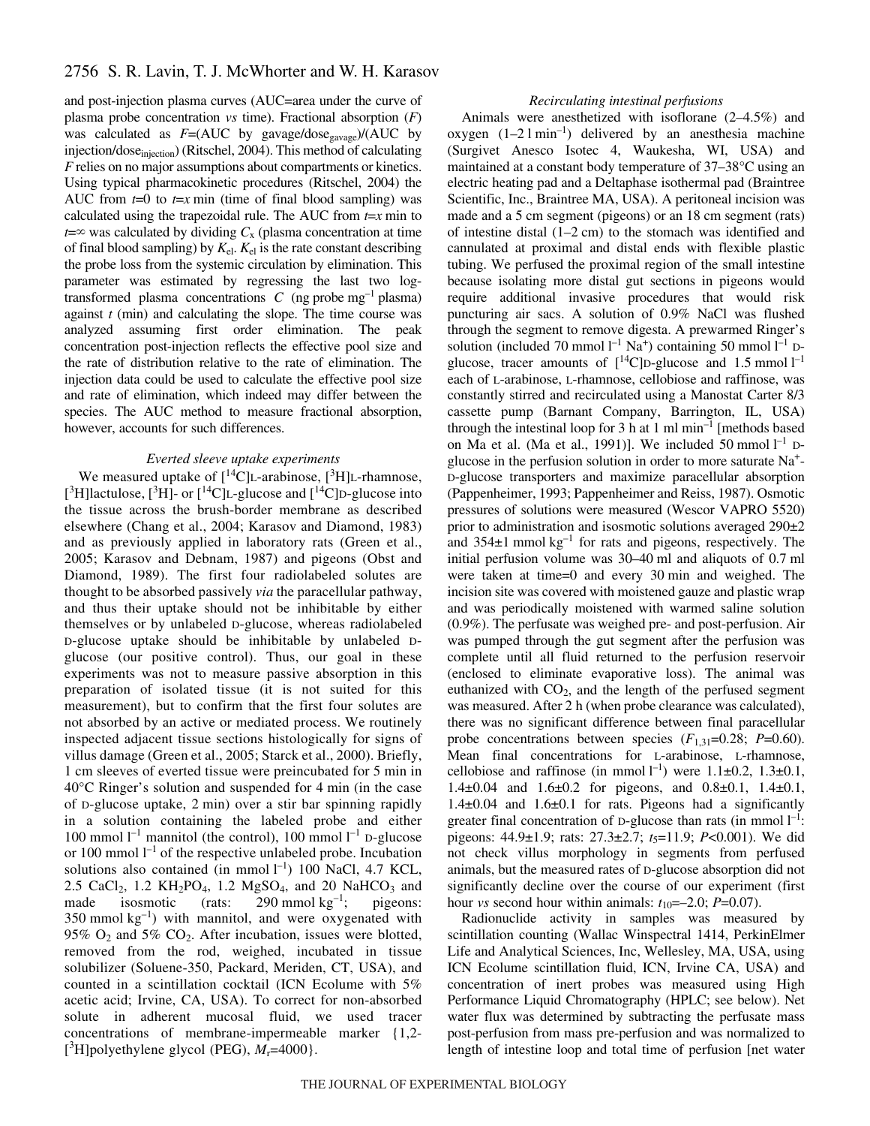and post-injection plasma curves (AUC=area under the curve of plasma probe concentration *vs* time). Fractional absorption (*F*) was calculated as *F*=(AUC by gavage/dose<sub>gavage</sub>)/(AUC by injection/dose<sub>injection</sub>) (Ritschel, 2004). This method of calculating *F* relies on no major assumptions about compartments or kinetics. Using typical pharmacokinetic procedures (Ritschel, 2004) the AUC from  $t=0$  to  $t=x$  min (time of final blood sampling) was calculated using the trapezoidal rule. The AUC from  $t=x$  min to  $t = \infty$  was calculated by dividing  $C_x$  (plasma concentration at time of final blood sampling) by  $K_{el}$ .  $K_{el}$  is the rate constant describing the probe loss from the systemic circulation by elimination. This parameter was estimated by regressing the last two logtransformed plasma concentrations  $C$  (ng probe  $mg^{-1}$  plasma) against *t* (min) and calculating the slope. The time course was analyzed assuming first order elimination. The peak concentration post-injection reflects the effective pool size and the rate of distribution relative to the rate of elimination. The injection data could be used to calculate the effective pool size and rate of elimination, which indeed may differ between the species. The AUC method to measure fractional absorption, however, accounts for such differences.

### *Everted sleeve uptake experiments*

We measured uptake of  $[{}^{14}C]$ L-arabinose,  $[{}^{3}H]$ L-rhamnose, [<sup>3</sup>H]lactulose, [<sup>3</sup>H]- or [<sup>14</sup>C]L-glucose and [<sup>14</sup>C]D-glucose into the tissue across the brush-border membrane as described elsewhere (Chang et al., 2004; Karasov and Diamond, 1983) and as previously applied in laboratory rats (Green et al., 2005; Karasov and Debnam, 1987) and pigeons (Obst and Diamond, 1989). The first four radiolabeled solutes are thought to be absorbed passively *via* the paracellular pathway, and thus their uptake should not be inhibitable by either themselves or by unlabeled D-glucose, whereas radiolabeled D-glucose uptake should be inhibitable by unlabeled Dglucose (our positive control). Thus, our goal in these experiments was not to measure passive absorption in this preparation of isolated tissue (it is not suited for this measurement), but to confirm that the first four solutes are not absorbed by an active or mediated process. We routinely inspected adjacent tissue sections histologically for signs of villus damage (Green et al., 2005; Starck et al., 2000). Briefly, 1 cm sleeves of everted tissue were preincubated for 5 min in  $40^{\circ}$ C Ringer's solution and suspended for 4 min (in the case of D-glucose uptake, 2 min) over a stir bar spinning rapidly in a solution containing the labeled probe and either 100 mmol  $l^{-1}$  mannitol (the control), 100 mmol  $l^{-1}$  D-glucose or 100 mmol  $l^{-1}$  of the respective unlabeled probe. Incubation solutions also contained (in mmol  $l^{-1}$ ) 100 NaCl, 4.7 KCL, 2.5 CaCl<sub>2</sub>, 1.2 KH<sub>2</sub>PO<sub>4</sub>, 1.2 MgSO<sub>4</sub>, and 20 NaHCO<sub>3</sub> and made isosmotic (rats:  $290 \text{ mmol kg}^{-1}$ ; pigeons:  $350$  mmol kg<sup>-1</sup>) with mannitol, and were oxygenated with 95%  $O_2$  and 5%  $CO_2$ . After incubation, issues were blotted, removed from the rod, weighed, incubated in tissue solubilizer (Soluene-350, Packard, Meriden, CT, USA), and counted in a scintillation cocktail (ICN Ecolume with 5% acetic acid; Irvine, CA, USA). To correct for non-absorbed solute in adherent mucosal fluid, we used tracer concentrations of membrane-impermeable marker {1,2- [<sup>3</sup>H]polyethylene glycol (PEG),  $M_r$ =4000}.

### *Recirculating intestinal perfusions*

Animals were anesthetized with isoflorane (2–4.5%) and oxygen  $(1-21 \text{ min}^{-1})$  delivered by an anesthesia machine (Surgivet Anesco Isotec 4, Waukesha, WI, USA) and maintained at a constant body temperature of 37–38°C using an electric heating pad and a Deltaphase isothermal pad (Braintree Scientific, Inc., Braintree MA, USA). A peritoneal incision was made and a 5 cm segment (pigeons) or an 18 cm segment (rats) of intestine distal  $(1-2 \text{ cm})$  to the stomach was identified and cannulated at proximal and distal ends with flexible plastic tubing. We perfused the proximal region of the small intestine because isolating more distal gut sections in pigeons would require additional invasive procedures that would risk puncturing air sacs. A solution of 0.9% NaCl was flushed through the segment to remove digesta. A prewarmed Ringer's solution (included 70 mmol  $l^{-1}$  Na<sup>+</sup>) containing 50 mmol  $l^{-1}$  Dglucose, tracer amounts of  $[{}^{14}C]$ D-glucose and 1.5 mmol  $I^{-1}$ each of L-arabinose, L-rhamnose, cellobiose and raffinose, was constantly stirred and recirculated using a Manostat Carter 8/3 cassette pump (Barnant Company, Barrington, IL, USA) through the intestinal loop for 3 h at 1  $\text{ml} \cdot \text{min}^{-1}$  [methods based on Ma et al. (Ma et al., 1991)]. We included 50 mmol  $l^{-1}$  Dglucose in the perfusion solution in order to more saturate Na+- D-glucose transporters and maximize paracellular absorption (Pappenheimer, 1993; Pappenheimer and Reiss, 1987). Osmotic pressures of solutions were measured (Wescor VAPRO 5520) prior to administration and isosmotic solutions averaged 290±2 and  $354\pm1$  mmol kg<sup>-1</sup> for rats and pigeons, respectively. The initial perfusion volume was  $30-40$  ml and aliquots of 0.7 ml were taken at time= $0$  and every 30 min and weighed. The incision site was covered with moistened gauze and plastic wrap and was periodically moistened with warmed saline solution (0.9%). The perfusate was weighed pre- and post-perfusion. Air was pumped through the gut segment after the perfusion was complete until all fluid returned to the perfusion reservoir (enclosed to eliminate evaporative loss). The animal was euthanized with  $CO<sub>2</sub>$ , and the length of the perfused segment was measured. After 2 h (when probe clearance was calculated), there was no significant difference between final paracellular probe concentrations between species  $(F_{1,31}=0.28; P=0.60)$ . Mean final concentrations for L-arabinose, L-rhamnose, cellobiose and raffinose (in mmol  $l^{-1}$ ) were 1.1 $\pm$ 0.2, 1.3 $\pm$ 0.1, 1.4±0.04 and 1.6±0.2 for pigeons, and 0.8±0.1, 1.4±0.1, 1.4±0.04 and 1.6±0.1 for rats. Pigeons had a significantly greater final concentration of D-glucose than rats (in mmol  $l^{-1}$ : pigeons: 44.9±1.9; rats: 27.3±2.7;  $t_5=11.9$ ; *P*<0.001). We did not check villus morphology in segments from perfused animals, but the measured rates of D-glucose absorption did not significantly decline over the course of our experiment (first hour *vs* second hour within animals:  $t_{10} = -2.0$ ;  $P = 0.07$ ).

Radionuclide activity in samples was measured by scintillation counting (Wallac Winspectral 1414, PerkinElmer Life and Analytical Sciences, Inc, Wellesley, MA, USA, using ICN Ecolume scintillation fluid, ICN, Irvine CA, USA) and concentration of inert probes was measured using High Performance Liquid Chromatography (HPLC; see below). Net water flux was determined by subtracting the perfusate mass post-perfusion from mass pre-perfusion and was normalized to length of intestine loop and total time of perfusion [net water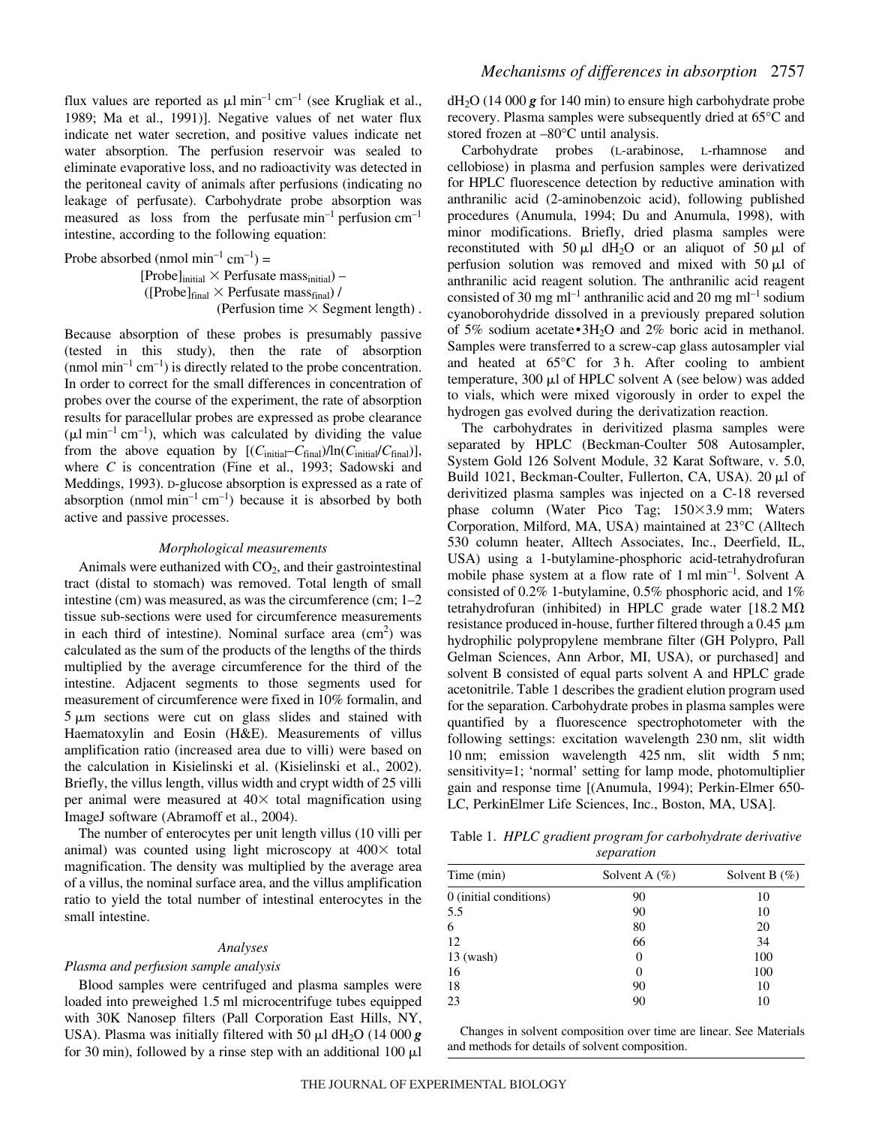flux values are reported as  $\mu$ l min<sup>-1</sup> cm<sup>-1</sup> (see Krugliak et al., 1989; Ma et al., 1991)]. Negative values of net water flux indicate net water secretion, and positive values indicate net water absorption. The perfusion reservoir was sealed to eliminate evaporative loss, and no radioactivity was detected in the peritoneal cavity of animals after perfusions (indicating no leakage of perfusate). Carbohydrate probe absorption was measured as loss from the perfusate  $min^{-1}$  perfusion  $cm^{-1}$ intestine, according to the following equation:

Probe absorbed (nmol min<sup>-1</sup> cm<sup>-1</sup>) =  $[Probe]_{initial} \times$  Perfusate mass $_{initial}$ ) – ([Probe] $_{final} \times$  Perfusate mass $_{final}$ ) / (Perfusion time  $\times$  Segment length).

Because absorption of these probes is presumably passive (tested in this study), then the rate of absorption (nmol  $min^{-1}$  cm<sup>-1</sup>) is directly related to the probe concentration. In order to correct for the small differences in concentration of probes over the course of the experiment, the rate of absorption results for paracellular probes are expressed as probe clearance  $(\mu l \text{ min}^{-1} \text{ cm}^{-1})$ , which was calculated by dividing the value from the above equation by  $[(C_{initial}-C_{final})/ln(C_{initial}/C_{final})]$ , where *C* is concentration (Fine et al., 1993; Sadowski and Meddings, 1993). D-glucose absorption is expressed as a rate of absorption (nmol  $min^{-1}$  cm<sup>-1</sup>) because it is absorbed by both active and passive processes.

#### *Morphological measurements*

Animals were euthanized with  $CO<sub>2</sub>$ , and their gastrointestinal tract (distal to stomach) was removed. Total length of small intestine (cm) was measured, as was the circumference (cm; 1–2 tissue sub-sections were used for circumference measurements in each third of intestine). Nominal surface area  $\text{(cm}^2\text{)}$  was calculated as the sum of the products of the lengths of the thirds multiplied by the average circumference for the third of the intestine. Adjacent segments to those segments used for measurement of circumference were fixed in 10% formalin, and  $5 \mu m$  sections were cut on glass slides and stained with Haematoxylin and Eosin (H&E). Measurements of villus amplification ratio (increased area due to villi) were based on the calculation in Kisielinski et al. (Kisielinski et al., 2002). Briefly, the villus length, villus width and crypt width of 25 villi per animal were measured at  $40\times$  total magnification using ImageJ software (Abramoff et al., 2004).

The number of enterocytes per unit length villus (10 villi per animal) was counted using light microscopy at  $400\times$  total magnification. The density was multiplied by the average area of a villus, the nominal surface area, and the villus amplification ratio to yield the total number of intestinal enterocytes in the small intestine.

#### *Analyses*

### *Plasma and perfusion sample analysis*

Blood samples were centrifuged and plasma samples were loaded into preweighed 1.5 ml microcentrifuge tubes equipped with 30K Nanosep filters (Pall Corporation East Hills, NY, USA). Plasma was initially filtered with 50  $\mu$ l dH<sub>2</sub>O (14 000  $g$ ) for 30 min), followed by a rinse step with an additional 100  $\mu$ l

 $dH<sub>2</sub>O$  (14 000  $g$  for 140 min) to ensure high carbohydrate probe recovery. Plasma samples were subsequently dried at 65°C and stored frozen at –80°C until analysis.

Carbohydrate probes (L-arabinose, L-rhamnose and cellobiose) in plasma and perfusion samples were derivatized for HPLC fluorescence detection by reductive amination with anthranilic acid (2-aminobenzoic acid), following published procedures (Anumula, 1994; Du and Anumula, 1998), with minor modifications. Briefly, dried plasma samples were reconstituted with 50  $\mu$ l dH<sub>2</sub>O or an aliquot of 50  $\mu$ l of perfusion solution was removed and mixed with  $50 \mu l$  of anthranilic acid reagent solution. The anthranilic acid reagent consisted of 30 mg  $ml^{-1}$  anthranilic acid and 20 mg  $ml^{-1}$  sodium cyanoborohydride dissolved in a previously prepared solution of 5% sodium acetate  $3H<sub>2</sub>O$  and 2% boric acid in methanol. Samples were transferred to a screw-cap glass autosampler vial and heated at  $65^{\circ}$ C for 3 h. After cooling to ambient temperature,  $300 \mu l$  of HPLC solvent A (see below) was added to vials, which were mixed vigorously in order to expel the hydrogen gas evolved during the derivatization reaction.

The carbohydrates in derivitized plasma samples were separated by HPLC (Beckman-Coulter 508 Autosampler, System Gold 126 Solvent Module, 32 Karat Software, v. 5.0, Build 1021, Beckman-Coulter, Fullerton, CA, USA). 20 µl of derivitized plasma samples was injected on a C-18 reversed phase column (Water Pico Tag;  $150 \times 3.9$  mm; Waters Corporation, Milford, MA, USA) maintained at 23°C (Alltech 530 column heater, Alltech Associates, Inc., Deerfield, IL, USA) using a 1-butylamine-phosphoric acid-tetrahydrofuran mobile phase system at a flow rate of  $1 \text{ ml min}^{-1}$ . Solvent A consisted of 0.2% 1-butylamine, 0.5% phosphoric acid, and 1% tetrahydrofuran (inhibited) in HPLC grade water  $[18.2 M\Omega]$ resistance produced in-house, further filtered through a  $0.45~\mu m$ hydrophilic polypropylene membrane filter (GH Polypro, Pall Gelman Sciences, Ann Arbor, MI, USA), or purchased] and solvent B consisted of equal parts solvent A and HPLC grade acetonitrile. Table 1 describes the gradient elution program used for the separation. Carbohydrate probes in plasma samples were quantified by a fluorescence spectrophotometer with the following settings: excitation wavelength 230 nm, slit width 10 nm; emission wavelength 425 nm, slit width 5 nm; sensitivity=1; 'normal' setting for lamp mode, photomultiplier gain and response time [(Anumula, 1994); Perkin-Elmer 650- LC, PerkinElmer Life Sciences, Inc., Boston, MA, USA].

Table 1. *HPLC gradient program for carbohydrate derivative separation* 

| Time (min)             | Solvent A $(\% )$ | Solvent B $(\%)$ |
|------------------------|-------------------|------------------|
| 0 (initial conditions) | 90                | 10               |
| 5.5                    | 90                | 10               |
| 6                      | 80                | 20               |
| 12                     | 66                | 34               |
| $13$ (wash)            | $\Omega$          | 100              |
| 16                     | 0                 | 100              |
| 18                     | 90                | 10               |
| 23                     | 90                | 10               |

Changes in solvent composition over time are linear. See Materials and methods for details of solvent composition.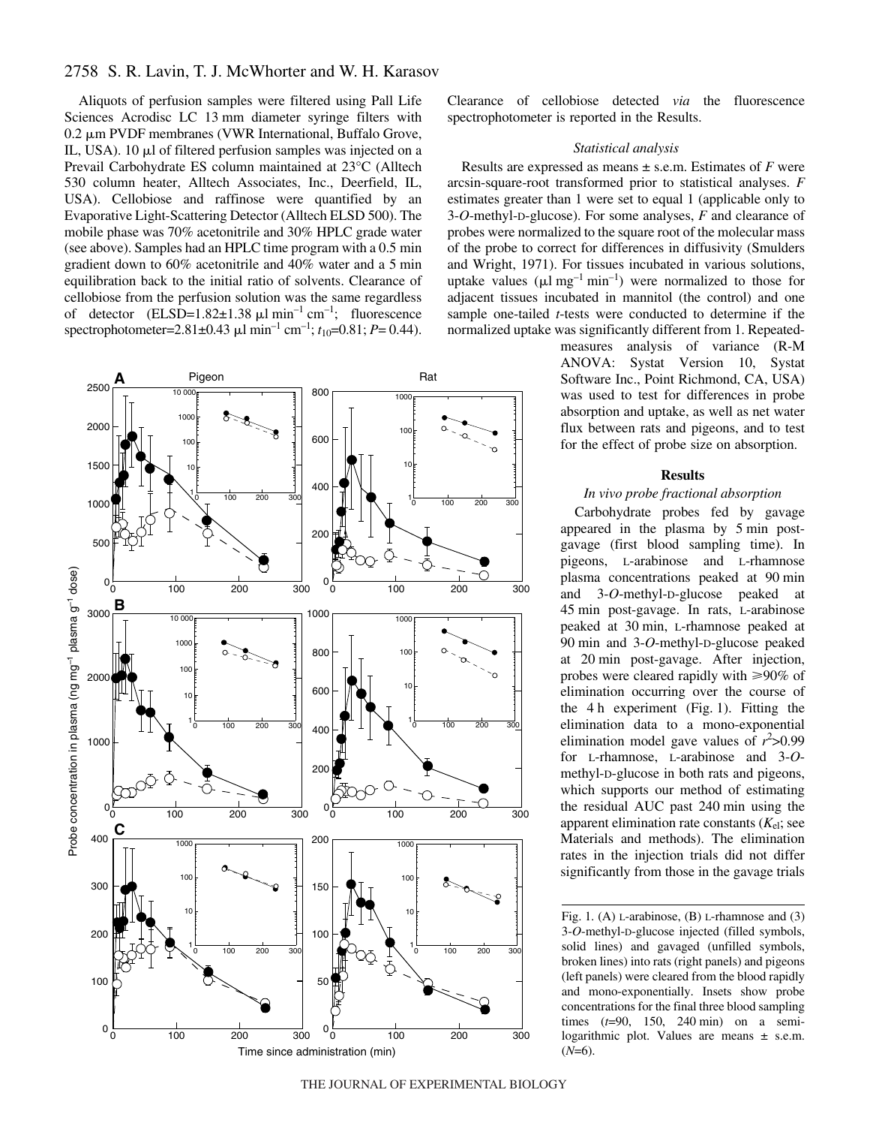## 2758 S. R. Lavin, T. J. McWhorter and W. H. Karasov

Aliquots of perfusion samples were filtered using Pall Life Sciences Acrodisc LC 13 mm diameter syringe filters with 0.2  $\mu$ m PVDF membranes (VWR International, Buffalo Grove, IL, USA).  $10 \mu l$  of filtered perfusion samples was injected on a Prevail Carbohydrate ES column maintained at 23°C (Alltech 530 column heater, Alltech Associates, Inc., Deerfield, IL, USA). Cellobiose and raffinose were quantified by an Evaporative Light-Scattering Detector (Alltech ELSD 500). The mobile phase was 70% acetonitrile and 30% HPLC grade water (see above). Samples had an HPLC time program with a  $0.5$  min gradient down to  $60\%$  acetonitrile and  $40\%$  water and a 5 min equilibration back to the initial ratio of solvents. Clearance of cellobiose from the perfusion solution was the same regardless of detector  $(ELSD=1.82 \pm 1.38 \mu l \text{ min}^{-1} \text{ cm}^{-1})$ ; fluorescence spectrophotometer=2.81±0.43  $\mu$ l min<sup>-1</sup> cm<sup>-1</sup>; *t*<sub>10</sub>=0.81; *P*= 0.44).



Clearance of cellobiose detected *via* the fluorescence spectrophotometer is reported in the Results.

#### *Statistical analysis*

Results are expressed as means ± s.e.m. Estimates of *F* were arcsin-square-root transformed prior to statistical analyses. *F* estimates greater than 1 were set to equal 1 (applicable only to 3-*O*-methyl-D-glucose). For some analyses, *F* and clearance of probes were normalized to the square root of the molecular mass of the probe to correct for differences in diffusivity (Smulders and Wright, 1971). For tissues incubated in various solutions, uptake values ( $\mu$ l mg<sup>-1</sup> min<sup>-1</sup>) were normalized to those for adjacent tissues incubated in mannitol (the control) and one sample one-tailed *t*-tests were conducted to determine if the normalized uptake was significantly different from 1. Repeated-

> measures analysis of variance (R-M ANOVA: Systat Version 10, Systat Software Inc., Point Richmond, CA, USA) was used to test for differences in probe absorption and uptake, as well as net water flux between rats and pigeons, and to test for the effect of probe size on absorption.

### **Results**

### *In vivo probe fractional absorption*

Carbohydrate probes fed by gavage appeared in the plasma by  $5 \text{ min}$  postgavage (first blood sampling time). In pigeons, L-arabinose and L-rhamnose plasma concentrations peaked at 90 min and 3-*O*-methyl-D-glucose peaked at 45 min post-gavage. In rats, L-arabinose peaked at 30 min, L-rhamnose peaked at 90 min and 3-*O*-methyl-D-glucose peaked at 20 min post-gavage. After injection, probes were cleared rapidly with  $\geq 90\%$  of elimination occurring over the course of the  $4 h$  experiment (Fig. 1). Fitting the elimination data to a mono-exponential elimination model gave values of  $r^2 > 0.99$ for L-rhamnose, L-arabinose and 3-*O*methyl-D-glucose in both rats and pigeons, which supports our method of estimating the residual AUC past 240 min using the apparent elimination rate constants  $(K_{el};$  see Materials and methods). The elimination rates in the injection trials did not differ significantly from those in the gavage trials

Fig. 1. (A) L-arabinose,  $(B)$  L-rhamnose and  $(3)$ 3-*O*-methyl-D-glucose injected (filled symbols, solid lines) and gavaged (unfilled symbols, broken lines) into rats (right panels) and pigeons (left panels) were cleared from the blood rapidly and mono-exponentially. Insets show probe concentrations for the final three blood sampling times  $(t=90, 150, 240 \text{ min})$  on a semilogarithmic plot. Values are means  $\pm$  s.e.m.  $(N=6)$ .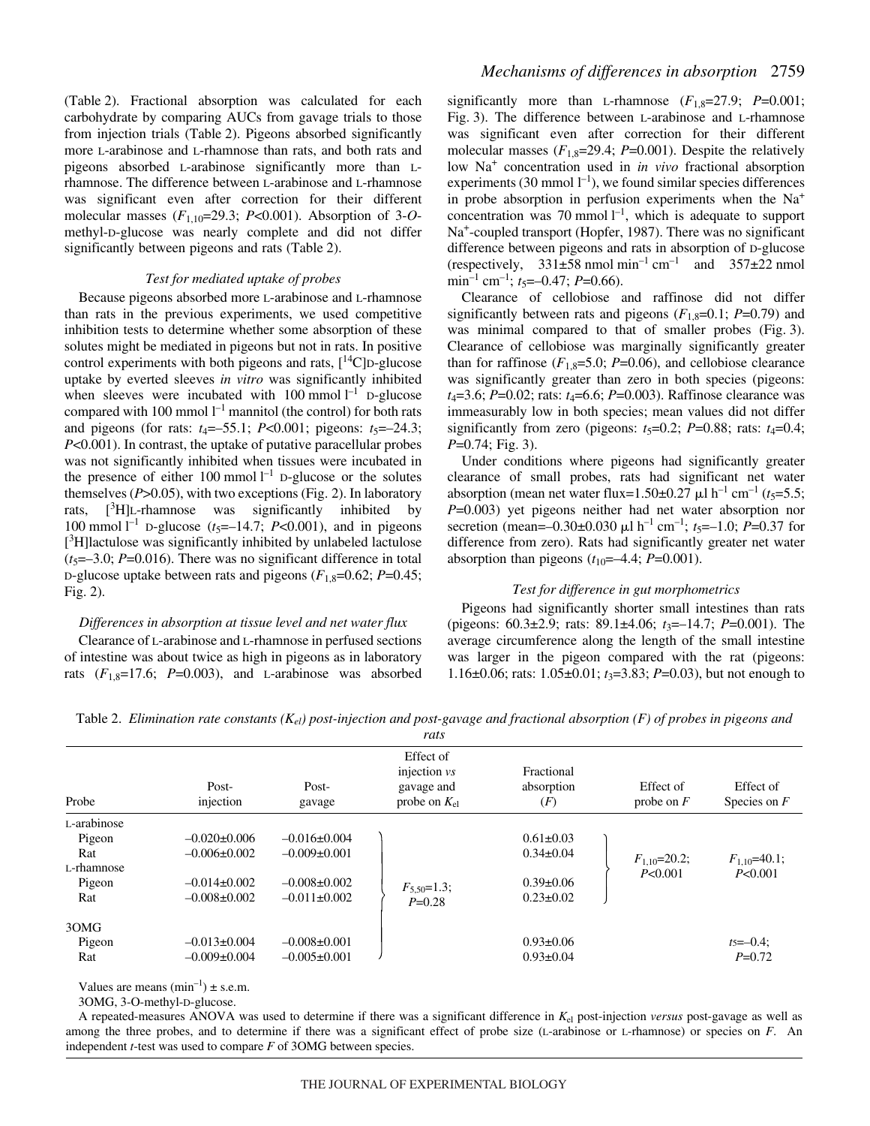(Table 2). Fractional absorption was calculated for each carbohydrate by comparing AUCs from gavage trials to those from injection trials (Table 2). Pigeons absorbed significantly more L-arabinose and L-rhamnose than rats, and both rats and pigeons absorbed L-arabinose significantly more than Lrhamnose. The difference between L-arabinose and L-rhamnose was significant even after correction for their different molecular masses (*F*1,10=29.3; *P*<0.001). Absorption of 3-*O*methyl-D-glucose was nearly complete and did not differ significantly between pigeons and rats (Table 2).

#### *Test for mediated uptake of probes*

Because pigeons absorbed more L-arabinose and L-rhamnose than rats in the previous experiments, we used competitive inhibition tests to determine whether some absorption of these solutes might be mediated in pigeons but not in rats. In positive control experiments with both pigeons and rats,  $[{}^{14}C]$ D-glucose uptake by everted sleeves *in vitro* was significantly inhibited when sleeves were incubated with  $100 \text{ mmol } l^{-1}$  D-glucose compared with 100 mmol  $l^{-1}$  mannitol (the control) for both rats and pigeons (for rats:  $t_4 = -55.1$ ;  $P < 0.001$ ; pigeons:  $t_5 = -24.3$ ; *P*<0.001). In contrast, the uptake of putative paracellular probes was not significantly inhibited when tissues were incubated in the presence of either 100 mmol  $l^{-1}$  D-glucose or the solutes themselves  $(P>0.05)$ , with two exceptions (Fig. 2). In laboratory rats, [<sup>3</sup>H]L-rhamnose was significantly inhibited by 100 mmol<sup>1-1</sup> D-glucose ( $t_5$ =–14.7; *P*<0.001), and in pigeons [<sup>3</sup>H]lactulose was significantly inhibited by unlabeled lactulose  $(t_5 = -3.0; P = 0.016)$ . There was no significant difference in total D-glucose uptake between rats and pigeons (*F*1,8=0.62; *P*=0.45; Fig.  $2$ ).

#### *Differences in absorption at tissue level and net water flux*

Clearance of L-arabinose and L-rhamnose in perfused sections of intestine was about twice as high in pigeons as in laboratory rats  $(F_{1,8}=17.6; P=0.003)$ , and L-arabinose was absorbed significantly more than L-rhamnose  $(F_{1,8}=27.9; P=0.001;$ Fig. 3). The difference between L-arabinose and L-rhamnose was significant even after correction for their different molecular masses  $(F_{1,8}=29.4; P=0.001)$ . Despite the relatively low Na+ concentration used in *in vivo* fractional absorption experiments (30 mmol  $l^{-1}$ ), we found similar species differences in probe absorption in perfusion experiments when the Na+ concentration was 70 mmol  $l^{-1}$ , which is adequate to support Na<sup>+</sup>-coupled transport (Hopfer, 1987). There was no significant difference between pigeons and rats in absorption of D-glucose (respectively,  $331\pm58$  nmol min<sup>-1</sup> cm<sup>-1</sup> and  $357\pm22$  nmol  $min^{-1}$  cm<sup>-1</sup>; *t*<sub>5</sub>=–0.47; *P*=0.66).

Clearance of cellobiose and raffinose did not differ significantly between rats and pigeons  $(F_{1,8}=0.1; P=0.79)$  and was minimal compared to that of smaller probes (Fig. 3). Clearance of cellobiose was marginally significantly greater than for raffinose  $(F_{1,8}=5.0; P=0.06)$ , and cellobiose clearance was significantly greater than zero in both species (pigeons: *t*4=3.6; *P*=0.02; rats: *t*4=6.6; *P*=0.003). Raffinose clearance was immeasurably low in both species; mean values did not differ significantly from zero (pigeons:  $t_5=0.2$ ;  $P=0.88$ ; rats:  $t_4=0.4$ ; *P*=0.74; Fig. 3).

Under conditions where pigeons had significantly greater clearance of small probes, rats had significant net water absorption (mean net water flux=1.50±0.27  $\mu$ l h<sup>-1</sup> cm<sup>-1</sup> (*t*<sub>5</sub>=5.5; *P*=0.003) yet pigeons neither had net water absorption nor secretion (mean=–0.30±0.030  $\mu$ l h<sup>-1</sup> cm<sup>-1</sup>; *t*<sub>5</sub>=–1.0; *P*=0.37 for difference from zero). Rats had significantly greater net water absorption than pigeons  $(t_{10}=-4.4; P=0.001)$ .

#### *Test for difference in gut morphometrics*

Pigeons had significantly shorter small intestines than rats (pigeons: 60.3±2.9; rats: 89.1±4.06; *t*<sub>3</sub>=-14.7; *P*=0.001). The average circumference along the length of the small intestine was larger in the pigeon compared with the rat (pigeons: 1.16±0.06; rats: 1.05±0.01; *t*3=3.83; *P*=0.03), but not enough to

|  |  |  |  | Table 2. Elimination rate constants ( $K_{el}$ ) post-injection and post-gavage and fractional absorption (F) of probes in pigeons and |  |  |  |  |
|--|--|--|--|----------------------------------------------------------------------------------------------------------------------------------------|--|--|--|--|
|--|--|--|--|----------------------------------------------------------------------------------------------------------------------------------------|--|--|--|--|

|             |                    |                    | rats                                                           |                                 |                           |                             |
|-------------|--------------------|--------------------|----------------------------------------------------------------|---------------------------------|---------------------------|-----------------------------|
| Probe       | Post-<br>injection | Post-<br>gavage    | Effect of<br>injection $vs$<br>gavage and<br>probe on $K_{el}$ | Fractional<br>absorption<br>(F) | Effect of<br>probe on $F$ | Effect of<br>Species on $F$ |
| L-arabinose |                    |                    |                                                                |                                 |                           |                             |
| Pigeon      | $-0.020\pm0.006$   | $-0.016\pm0.004$   |                                                                | $0.61 \pm 0.03$                 |                           |                             |
| Rat         | $-0.006\pm0.002$   | $-0.009 \pm 0.001$ |                                                                | $0.34 \pm 0.04$                 | $F_{1.10} = 20.2$ ;       | $F_{1.10} = 40.1$ ;         |
| L-rhamnose  |                    |                    |                                                                |                                 | P<0.001                   | P<0.001                     |
| Pigeon      | $-0.014\pm0.002$   | $-0.008\pm0.002$   | $F_{5,50} = 1.3;$                                              | $0.39 \pm 0.06$                 |                           |                             |
| Rat         | $-0.008 \pm 0.002$ | $-0.011 \pm 0.002$ | $P=0.28$                                                       | $0.23 \pm 0.02$                 |                           |                             |
| 30MG        |                    |                    |                                                                |                                 |                           |                             |
| Pigeon      | $-0.013 \pm 0.004$ | $-0.008 \pm 0.001$ |                                                                | $0.93 \pm 0.06$                 |                           | $t = -0.4$ ;                |
| Rat         | $-0.009 \pm 0.004$ | $-0.005 \pm 0.001$ |                                                                | $0.93 \pm 0.04$                 |                           | $P=0.72$                    |

Values are means  $(min^{-1}) \pm s.e.m.$ 

3OMG, 3-O-methyl-D-glucose.

A repeated-measures ANOVA was used to determine if there was a significant difference in *K*el post-injection *versus* post-gavage as well as among the three probes, and to determine if there was a significant effect of probe size (L-arabinose or L-rhamnose) or species on *F*. An independent *t*-test was used to compare *F* of 3OMG between species.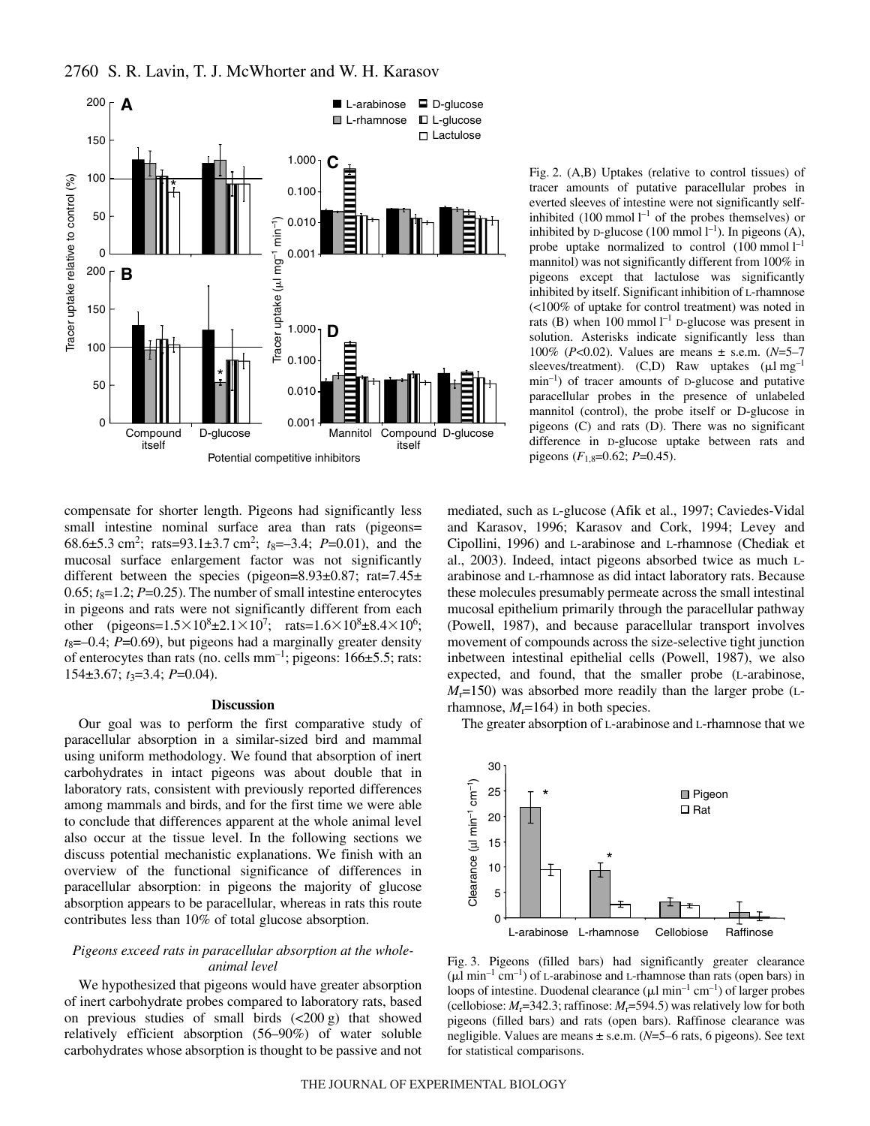

compensate for shorter length. Pigeons had significantly less small intestine nominal surface area than rats (pigeons= 68.6 $\pm$ 5.3 cm<sup>2</sup>; rats=93.1 $\pm$ 3.7 cm<sup>2</sup>;  $t_8$ =–3.4; *P*=0.01), and the mucosal surface enlargement factor was not significantly different between the species (pigeon=8.93 $\pm$ 0.87; rat=7.45 $\pm$ 0.65;  $t_8=1.2$ ;  $P=0.25$ ). The number of small intestine enterocytes in pigeons and rats were not significantly different from each other (pigeons= $1.5 \times 10^8 \pm 2.1 \times 10^7$ ; rats= $1.6 \times 10^8 \pm 8.4 \times 10^6$ ;  $t_8 = -0.4$ ;  $P = 0.69$ ), but pigeons had a marginally greater density of enterocytes than rats (no. cells  $mm^{-1}$ ; pigeons: 166 $\pm$ 5.5; rats: 154±3.67; *t*<sub>3</sub>=3.4; *P*=0.04).

#### **Discussion**

Our goal was to perform the first comparative study of paracellular absorption in a similar-sized bird and mammal using uniform methodology. We found that absorption of inert carbohydrates in intact pigeons was about double that in laboratory rats, consistent with previously reported differences among mammals and birds, and for the first time we were able to conclude that differences apparent at the whole animal level also occur at the tissue level. In the following sections we discuss potential mechanistic explanations. We finish with an overview of the functional significance of differences in paracellular absorption: in pigeons the majority of glucose absorption appears to be paracellular, whereas in rats this route contributes less than 10% of total glucose absorption.

### *Pigeons exceed rats in paracellular absorption at the wholeanimal level*

We hypothesized that pigeons would have greater absorption of inert carbohydrate probes compared to laboratory rats, based on previous studies of small birds  $\left($ <200 g) that showed relatively efficient absorption (56–90%) of water soluble carbohydrates whose absorption is thought to be passive and not Fig. 2. (A,B) Uptakes (relative to control tissues) of tracer amounts of putative paracellular probes in everted sleeves of intestine were not significantly selfinhibited  $(100 \text{ mmol } l^{-1}$  of the probes themselves) or inhibited by D-glucose (100 mmol  $l^{-1}$ ). In pigeons (A), probe uptake normalized to control  $(100 \text{ mmol } l^{-1})$ mannitol) was not significantly different from 100% in pigeons except that lactulose was significantly inhibited by itself. Significant inhibition of L-rhamnose (<100% of uptake for control treatment) was noted in rats (B) when  $100 \text{ mmol } l^{-1}$  D-glucose was present in solution. Asterisks indicate significantly less than 100% (*P*<0.02). Values are means ± s.e.m. (*N*=5–7 sleeves/treatment). (C,D) Raw uptakes  $(\mu l mg^{-1})$ min<sup>-1</sup>) of tracer amounts of D-glucose and putative paracellular probes in the presence of unlabeled mannitol (control), the probe itself or D-glucose in pigeons (C) and rats (D). There was no significant difference in D-glucose uptake between rats and pigeons  $(F_{1,8}=0.62; P=0.45)$ .

mediated, such as L-glucose (Afik et al., 1997; Caviedes-Vidal and Karasov, 1996; Karasov and Cork, 1994; Levey and Cipollini, 1996) and L-arabinose and L-rhamnose (Chediak et al., 2003). Indeed, intact pigeons absorbed twice as much Larabinose and L-rhamnose as did intact laboratory rats. Because these molecules presumably permeate across the small intestinal mucosal epithelium primarily through the paracellular pathway (Powell, 1987), and because paracellular transport involves movement of compounds across the size-selective tight junction inbetween intestinal epithelial cells (Powell, 1987), we also expected, and found, that the smaller probe (L-arabinose,  $M_r$ =150) was absorbed more readily than the larger probe (Lrhamnose,  $M_r$ =164) in both species.

The greater absorption of L-arabinose and L-rhamnose that we



Fig. 3. Pigeons (filled bars) had significantly greater clearance  $(\mu l \text{ min}^{-1} \text{ cm}^{-1})$  of L-arabinose and L-rhamnose than rats (open bars) in loops of intestine. Duodenal clearance ( $\mu$ l min<sup>-1</sup> cm<sup>-1</sup>) of larger probes (cellobiose:  $M_r$ =342.3; raffinose:  $M_r$ =594.5) was relatively low for both pigeons (filled bars) and rats (open bars). Raffinose clearance was negligible. Values are means ± s.e.m. (*N*=5–6 rats, 6 pigeons). See text for statistical comparisons.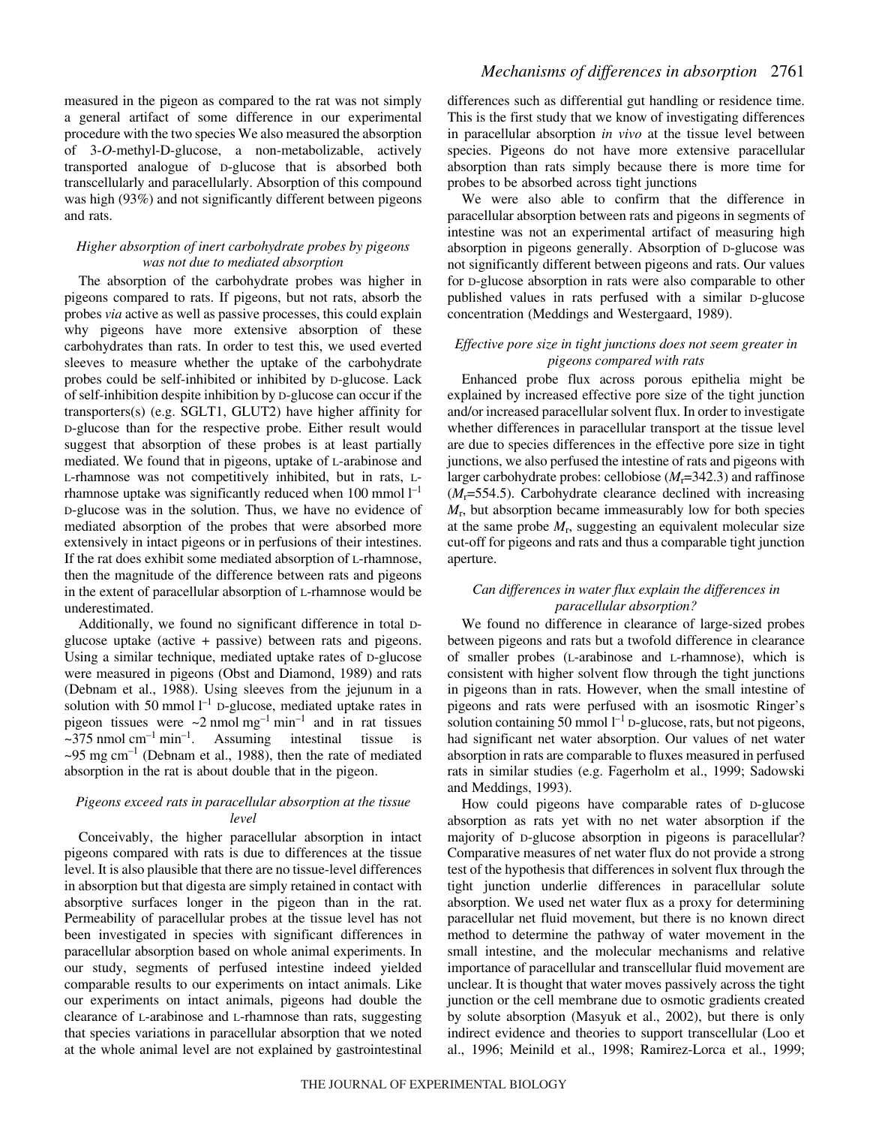measured in the pigeon as compared to the rat was not simply a general artifact of some difference in our experimental procedure with the two species We also measured the absorption of 3-*O*-methyl-D-glucose, a non-metabolizable, actively transported analogue of D-glucose that is absorbed both transcellularly and paracellularly. Absorption of this compound was high (93%) and not significantly different between pigeons and rats.

### *Higher absorption of inert carbohydrate probes by pigeons was not due to mediated absorption*

The absorption of the carbohydrate probes was higher in pigeons compared to rats. If pigeons, but not rats, absorb the probes *via* active as well as passive processes, this could explain why pigeons have more extensive absorption of these carbohydrates than rats. In order to test this, we used everted sleeves to measure whether the uptake of the carbohydrate probes could be self-inhibited or inhibited by D-glucose. Lack of self-inhibition despite inhibition by D-glucose can occur if the transporters(s) (e.g. SGLT1, GLUT2) have higher affinity for D-glucose than for the respective probe. Either result would suggest that absorption of these probes is at least partially mediated. We found that in pigeons, uptake of L-arabinose and L-rhamnose was not competitively inhibited, but in rats, Lrhamnose uptake was significantly reduced when  $100$  mmol  $l^{-1}$ D-glucose was in the solution. Thus, we have no evidence of mediated absorption of the probes that were absorbed more extensively in intact pigeons or in perfusions of their intestines. If the rat does exhibit some mediated absorption of L-rhamnose, then the magnitude of the difference between rats and pigeons in the extent of paracellular absorption of L-rhamnose would be underestimated.

Additionally, we found no significant difference in total Dglucose uptake (active + passive) between rats and pigeons. Using a similar technique, mediated uptake rates of D-glucose were measured in pigeons (Obst and Diamond, 1989) and rats (Debnam et al., 1988). Using sleeves from the jejunum in a solution with 50 mmol  $l^{-1}$  D-glucose, mediated uptake rates in pigeon tissues were  $\sim 2$  nmol mg<sup>-1</sup> min<sup>-1</sup> and in rat tissues  $\approx$  375 nmol cm<sup>-1</sup> min<sup>-1</sup>. Assuming intestinal tissue is  $\sim$ 95 mg cm<sup>-1</sup> (Debnam et al., 1988), then the rate of mediated absorption in the rat is about double that in the pigeon.

#### *Pigeons exceed rats in paracellular absorption at the tissue level*

Conceivably, the higher paracellular absorption in intact pigeons compared with rats is due to differences at the tissue level. It is also plausible that there are no tissue-level differences in absorption but that digesta are simply retained in contact with absorptive surfaces longer in the pigeon than in the rat. Permeability of paracellular probes at the tissue level has not been investigated in species with significant differences in paracellular absorption based on whole animal experiments. In our study, segments of perfused intestine indeed yielded comparable results to our experiments on intact animals. Like our experiments on intact animals, pigeons had double the clearance of L-arabinose and L-rhamnose than rats, suggesting that species variations in paracellular absorption that we noted at the whole animal level are not explained by gastrointestinal

differences such as differential gut handling or residence time. This is the first study that we know of investigating differences in paracellular absorption *in vivo* at the tissue level between species. Pigeons do not have more extensive paracellular absorption than rats simply because there is more time for probes to be absorbed across tight junctions

We were also able to confirm that the difference in paracellular absorption between rats and pigeons in segments of intestine was not an experimental artifact of measuring high absorption in pigeons generally. Absorption of D-glucose was not significantly different between pigeons and rats. Our values for D-glucose absorption in rats were also comparable to other published values in rats perfused with a similar D-glucose concentration (Meddings and Westergaard, 1989).

### *Effective pore size in tight junctions does not seem greater in pigeons compared with rats*

Enhanced probe flux across porous epithelia might be explained by increased effective pore size of the tight junction and/or increased paracellular solvent flux. In order to investigate whether differences in paracellular transport at the tissue level are due to species differences in the effective pore size in tight junctions, we also perfused the intestine of rats and pigeons with larger carbohydrate probes: cellobiose  $(M_r=342.3)$  and raffinose  $(M_r=554.5)$ . Carbohydrate clearance declined with increasing  $M_r$ , but absorption became immeasurably low for both species at the same probe *M*r, suggesting an equivalent molecular size cut-off for pigeons and rats and thus a comparable tight junction aperture.

### *Can differences in water flux explain the differences in paracellular absorption?*

We found no difference in clearance of large-sized probes between pigeons and rats but a twofold difference in clearance of smaller probes (L-arabinose and L-rhamnose), which is consistent with higher solvent flow through the tight junctions in pigeons than in rats. However, when the small intestine of pigeons and rats were perfused with an isosmotic Ringer's solution containing 50 mmol  $l^{-1}$  D-glucose, rats, but not pigeons, had significant net water absorption. Our values of net water absorption in rats are comparable to fluxes measured in perfused rats in similar studies (e.g. Fagerholm et al., 1999; Sadowski and Meddings, 1993).

How could pigeons have comparable rates of D-glucose absorption as rats yet with no net water absorption if the majority of D-glucose absorption in pigeons is paracellular? Comparative measures of net water flux do not provide a strong test of the hypothesis that differences in solvent flux through the tight junction underlie differences in paracellular solute absorption. We used net water flux as a proxy for determining paracellular net fluid movement, but there is no known direct method to determine the pathway of water movement in the small intestine, and the molecular mechanisms and relative importance of paracellular and transcellular fluid movement are unclear. It is thought that water moves passively across the tight junction or the cell membrane due to osmotic gradients created by solute absorption (Masyuk et al., 2002), but there is only indirect evidence and theories to support transcellular (Loo et al., 1996; Meinild et al., 1998; Ramirez-Lorca et al., 1999;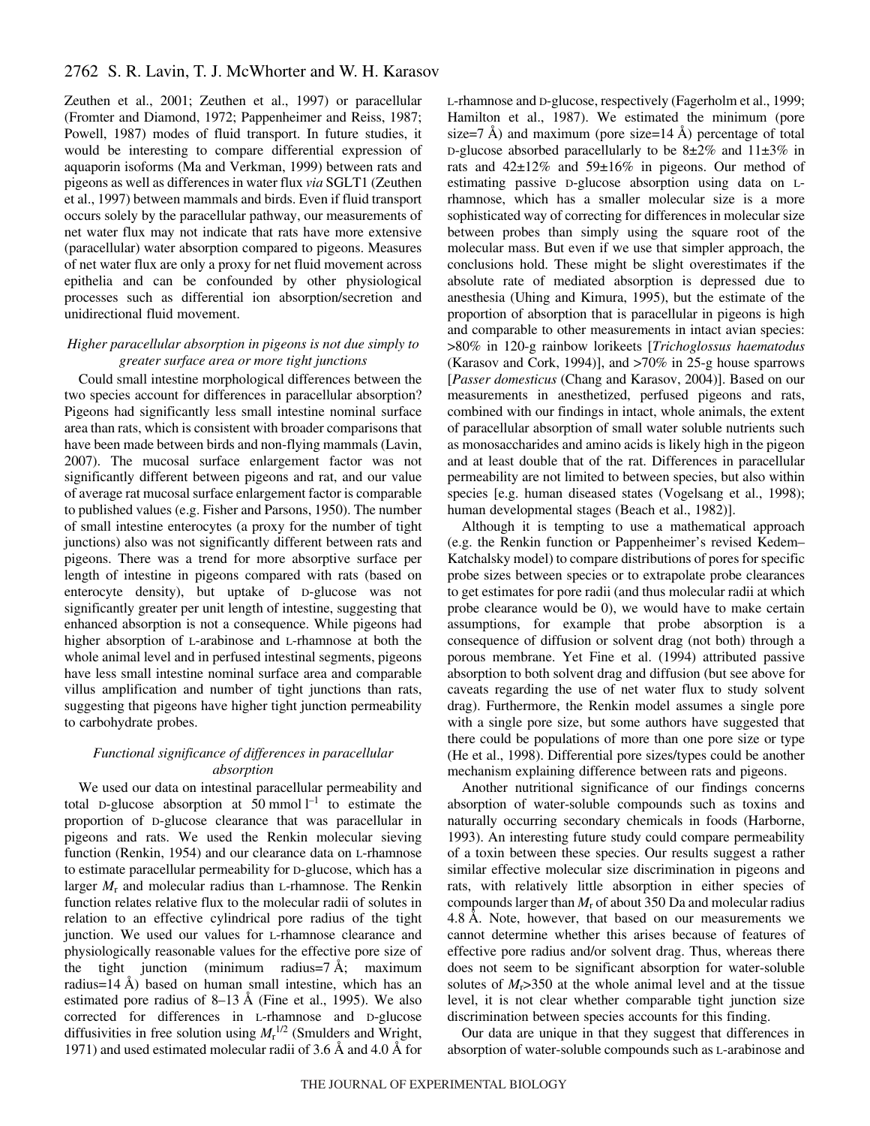## 2762 S. R. Lavin, T. J. McWhorter and W. H. Karasov

Zeuthen et al., 2001; Zeuthen et al., 1997) or paracellular (Fromter and Diamond, 1972; Pappenheimer and Reiss, 1987; Powell, 1987) modes of fluid transport. In future studies, it would be interesting to compare differential expression of aquaporin isoforms (Ma and Verkman, 1999) between rats and pigeons as well as differences in water flux *via* SGLT1 (Zeuthen et al., 1997) between mammals and birds. Even if fluid transport occurs solely by the paracellular pathway, our measurements of net water flux may not indicate that rats have more extensive (paracellular) water absorption compared to pigeons. Measures of net water flux are only a proxy for net fluid movement across epithelia and can be confounded by other physiological processes such as differential ion absorption/secretion and unidirectional fluid movement.

### *Higher paracellular absorption in pigeons is not due simply to greater surface area or more tight junctions*

Could small intestine morphological differences between the two species account for differences in paracellular absorption? Pigeons had significantly less small intestine nominal surface area than rats, which is consistent with broader comparisons that have been made between birds and non-flying mammals (Lavin, 2007). The mucosal surface enlargement factor was not significantly different between pigeons and rat, and our value of average rat mucosal surface enlargement factor is comparable to published values (e.g. Fisher and Parsons, 1950). The number of small intestine enterocytes (a proxy for the number of tight junctions) also was not significantly different between rats and pigeons. There was a trend for more absorptive surface per length of intestine in pigeons compared with rats (based on enterocyte density), but uptake of D-glucose was not significantly greater per unit length of intestine, suggesting that enhanced absorption is not a consequence. While pigeons had higher absorption of L-arabinose and L-rhamnose at both the whole animal level and in perfused intestinal segments, pigeons have less small intestine nominal surface area and comparable villus amplification and number of tight junctions than rats, suggesting that pigeons have higher tight junction permeability to carbohydrate probes.

### *Functional significance of differences in paracellular absorption*

We used our data on intestinal paracellular permeability and total D-glucose absorption at 50 mmol  $l^{-1}$  to estimate the proportion of D-glucose clearance that was paracellular in pigeons and rats. We used the Renkin molecular sieving function (Renkin, 1954) and our clearance data on L-rhamnose to estimate paracellular permeability for D-glucose, which has a larger  $M_r$  and molecular radius than L-rhamnose. The Renkin function relates relative flux to the molecular radii of solutes in relation to an effective cylindrical pore radius of the tight junction. We used our values for L-rhamnose clearance and physiologically reasonable values for the effective pore size of the tight junction (minimum radius=7 $\AA$ ; maximum radius=14 $\AA$ ) based on human small intestine, which has an estimated pore radius of  $8-13 \text{ Å}$  (Fine et al., 1995). We also corrected for differences in L-rhamnose and D-glucose diffusivities in free solution using  $M_r^{1/2}$  (Smulders and Wright, 1971) and used estimated molecular radii of 3.6  $\AA$  and 4.0  $\AA$  for

L-rhamnose and D-glucose, respectively (Fagerholm et al., 1999; Hamilton et al., 1987). We estimated the minimum (pore size=7 $\AA$ ) and maximum (pore size=14 $\AA$ ) percentage of total D-glucose absorbed paracellularly to be  $8\pm2\%$  and  $11\pm3\%$  in rats and 42±12% and 59±16% in pigeons. Our method of estimating passive D-glucose absorption using data on Lrhamnose, which has a smaller molecular size is a more sophisticated way of correcting for differences in molecular size between probes than simply using the square root of the molecular mass. But even if we use that simpler approach, the conclusions hold. These might be slight overestimates if the absolute rate of mediated absorption is depressed due to anesthesia (Uhing and Kimura, 1995), but the estimate of the proportion of absorption that is paracellular in pigeons is high and comparable to other measurements in intact avian species: >80% in 120-g rainbow lorikeets [*Trichoglossus haematodus* (Karasov and Cork, 1994)], and >70% in 25-g house sparrows [*Passer domesticus* (Chang and Karasov, 2004)]. Based on our measurements in anesthetized, perfused pigeons and rats, combined with our findings in intact, whole animals, the extent of paracellular absorption of small water soluble nutrients such as monosaccharides and amino acids is likely high in the pigeon and at least double that of the rat. Differences in paracellular permeability are not limited to between species, but also within species [e.g. human diseased states (Vogelsang et al., 1998); human developmental stages (Beach et al., 1982)].

Although it is tempting to use a mathematical approach (e.g. the Renkin function or Pappenheimer's revised Kedem– Katchalsky model) to compare distributions of pores for specific probe sizes between species or to extrapolate probe clearances to get estimates for pore radii (and thus molecular radii at which probe clearance would be 0), we would have to make certain assumptions, for example that probe absorption is a consequence of diffusion or solvent drag (not both) through a porous membrane. Yet Fine et al. (1994) attributed passive absorption to both solvent drag and diffusion (but see above for caveats regarding the use of net water flux to study solvent drag). Furthermore, the Renkin model assumes a single pore with a single pore size, but some authors have suggested that there could be populations of more than one pore size or type (He et al., 1998). Differential pore sizes/types could be another mechanism explaining difference between rats and pigeons.

Another nutritional significance of our findings concerns absorption of water-soluble compounds such as toxins and naturally occurring secondary chemicals in foods (Harborne, 1993). An interesting future study could compare permeability of a toxin between these species. Our results suggest a rather similar effective molecular size discrimination in pigeons and rats, with relatively little absorption in either species of compounds larger than  $M_r$  of about 350 Da and molecular radius 4.8 Å. Note, however, that based on our measurements we cannot determine whether this arises because of features of effective pore radius and/or solvent drag. Thus, whereas there does not seem to be significant absorption for water-soluble solutes of  $M_r$ >350 at the whole animal level and at the tissue level, it is not clear whether comparable tight junction size discrimination between species accounts for this finding.

Our data are unique in that they suggest that differences in absorption of water-soluble compounds such as L-arabinose and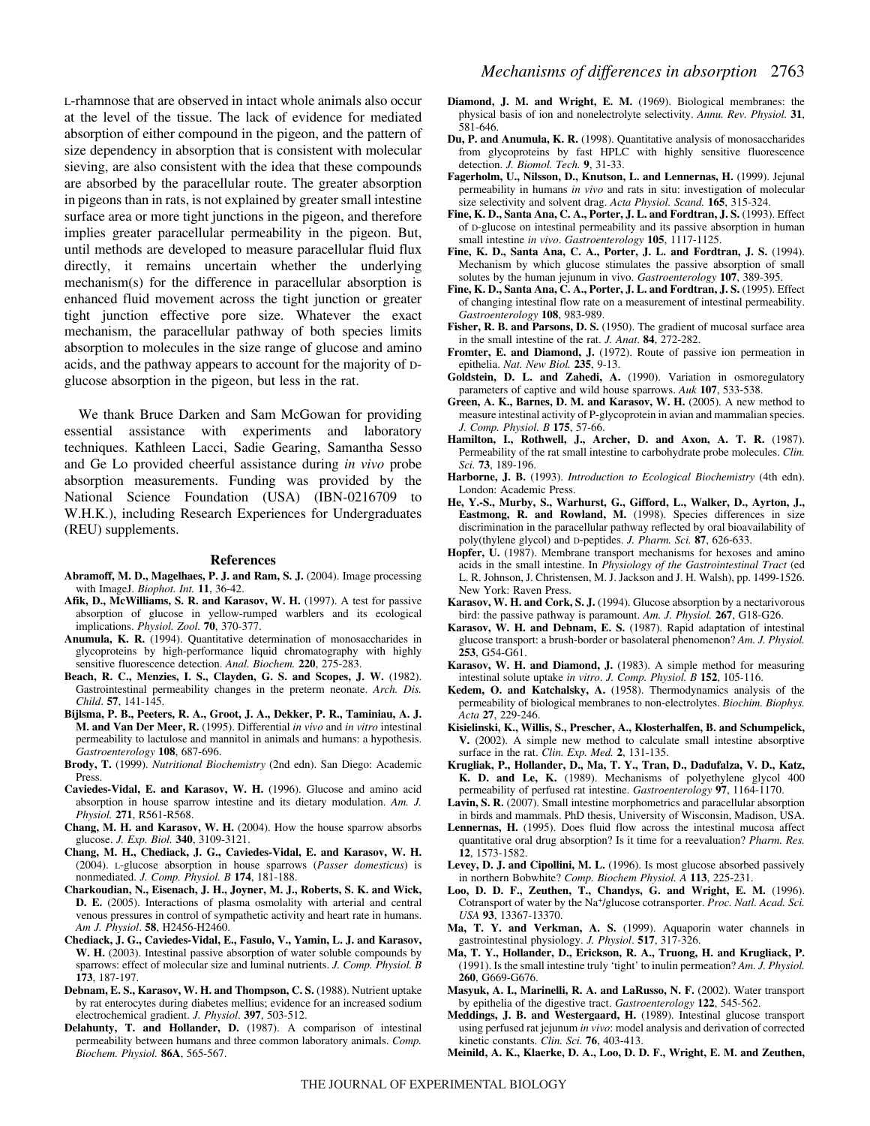L-rhamnose that are observed in intact whole animals also occur at the level of the tissue. The lack of evidence for mediated absorption of either compound in the pigeon, and the pattern of size dependency in absorption that is consistent with molecular sieving, are also consistent with the idea that these compounds are absorbed by the paracellular route. The greater absorption in pigeons than in rats, is not explained by greater small intestine surface area or more tight junctions in the pigeon, and therefore implies greater paracellular permeability in the pigeon. But, until methods are developed to measure paracellular fluid flux directly, it remains uncertain whether the underlying mechanism(s) for the difference in paracellular absorption is enhanced fluid movement across the tight junction or greater tight junction effective pore size. Whatever the exact mechanism, the paracellular pathway of both species limits absorption to molecules in the size range of glucose and amino acids, and the pathway appears to account for the majority of Dglucose absorption in the pigeon, but less in the rat.

We thank Bruce Darken and Sam McGowan for providing essential assistance with experiments and laboratory techniques. Kathleen Lacci, Sadie Gearing, Samantha Sesso and Ge Lo provided cheerful assistance during *in vivo* probe absorption measurements. Funding was provided by the National Science Foundation (USA) (IBN-0216709 to W.H.K.), including Research Experiences for Undergraduates (REU) supplements.

#### **References**

- Abramoff, M. D., Magelhaes, P. J. and Ram, S. J. (2004). Image processing with ImageJ. *Biophot. Int.* **11**, 36-42.
- **Afik, D., McWilliams, S. R. and Karasov, W. H.** (1997). A test for passive absorption of glucose in yellow-rumped warblers and its ecological implications. *Physiol. Zool.* **70**, 370-377.
- **Anumula, K. R.** (1994). Quantitative determination of monosaccharides in glycoproteins by high-performance liquid chromatography with highly sensitive fluorescence detection. *Anal. Biochem.* **220**, 275-283.
- **Beach, R. C., Menzies, I. S., Clayden, G. S. and Scopes, J. W.** (1982). Gastrointestinal permeability changes in the preterm neonate. *Arch. Dis. Child*. **57**, 141-145.
- **Bijlsma, P. B., Peeters, R. A., Groot, J. A., Dekker, P. R., Taminiau, A. J. M. and Van Der Meer, R.** (1995). Differential *in vivo* and *in vitro* intestinal permeability to lactulose and mannitol in animals and humans: a hypothesis. *Gastroenterology* **108**, 687-696.
- **Brody, T.** (1999). *Nutritional Biochemistry* (2nd edn). San Diego: Academic Press.
- **Caviedes-Vidal, E. and Karasov, W. H.** (1996). Glucose and amino acid absorption in house sparrow intestine and its dietary modulation. *Am. J. Physiol.* **271**, R561-R568.
- **Chang, M. H. and Karasov, W. H.** (2004). How the house sparrow absorbs glucose. *J. Exp. Biol.* **340**, 3109-3121.
- **Chang, M. H., Chediack, J. G., Caviedes-Vidal, E. and Karasov, W. H.** (2004). L-glucose absorption in house sparrows (*Passer domesticus*) is nonmediated. *J. Comp. Physiol. B* **174**, 181-188.
- **Charkoudian, N., Eisenach, J. H., Joyner, M. J., Roberts, S. K. and Wick, D. E.** (2005). Interactions of plasma osmolality with arterial and central venous pressures in control of sympathetic activity and heart rate in humans. *Am J. Physiol*. **58**, H2456-H2460.
- **Chediack, J. G., Caviedes-Vidal, E., Fasulo, V., Yamin, L. J. and Karasov, W. H.** (2003). Intestinal passive absorption of water soluble compounds by sparrows: effect of molecular size and luminal nutrients. *J. Comp. Physiol. B* **173**, 187-197.
- **Debnam, E. S., Karasov, W. H. and Thompson, C. S.** (1988). Nutrient uptake by rat enterocytes during diabetes mellius; evidence for an increased sodium electrochemical gradient. *J. Physiol*. **397**, 503-512.
- **Delahunty, T. and Hollander, D.** (1987). A comparison of intestinal permeability between humans and three common laboratory animals. *Comp. Biochem. Physiol.* **86A**, 565-567.
- **Diamond, J. M. and Wright, E. M.** (1969). Biological membranes: the physical basis of ion and nonelectrolyte selectivity. *Annu. Rev. Physiol.* **31**, 581-646.
- **Du, P. and Anumula, K. R.** (1998). Quantitative analysis of monosaccharides from glycoproteins by fast HPLC with highly sensitive fluorescence detection. *J. Biomol. Tech.* **9**, 31-33.
- **Fagerholm, U., Nilsson, D., Knutson, L. and Lennernas, H.** (1999). Jejunal permeability in humans *in vivo* and rats in situ: investigation of molecular size selectivity and solvent drag. *Acta Physiol. Scand.* **165**, 315-324.
- **Fine, K. D., Santa Ana, C. A., Porter, J. L. and Fordtran, J. S.** (1993). Effect of D-glucose on intestinal permeability and its passive absorption in human small intestine *in vivo*. *Gastroenterology* **105**, 1117-1125.
- **Fine, K. D., Santa Ana, C. A., Porter, J. L. and Fordtran, J. S.** (1994). Mechanism by which glucose stimulates the passive absorption of small solutes by the human jejunum in vivo. *Gastroenterology* **107**, 389-395.
- **Fine, K. D., Santa Ana, C. A., Porter, J. L. and Fordtran, J. S.** (1995). Effect of changing intestinal flow rate on a measurement of intestinal permeability. *Gastroenterology* **108**, 983-989.
- Fisher, R. B. and Parsons, D. S. (1950). The gradient of mucosal surface area in the small intestine of the rat. *J. Anat*. **84**, 272-282.
- **Fromter, E. and Diamond, J.** (1972). Route of passive ion permeation in epithelia. *Nat. New Biol.* **235**, 9-13.
- **Goldstein, D. L. and Zahedi, A.** (1990). Variation in osmoregulatory parameters of captive and wild house sparrows. *Auk* **107**, 533-538.
- **Green, A. K., Barnes, D. M. and Karasov, W. H.** (2005). A new method to measure intestinal activity of P-glycoprotein in avian and mammalian species. *J. Comp. Physiol. B* **175**, 57-66.
- **Hamilton, I., Rothwell, J., Archer, D. and Axon, A. T. R.** (1987). Permeability of the rat small intestine to carbohydrate probe molecules. *Clin. Sci.* **73**, 189-196.
- **Harborne, J. B.** (1993). *Introduction to Ecological Biochemistry* (4th edn). London: Academic Press.
- **He, Y.-S., Murby, S., Warhurst, G., Gifford, L., Walker, D., Ayrton, J., Eastmong, R. and Rowland, M.** (1998). Species differences in size discrimination in the paracellular pathway reflected by oral bioavailability of poly(thylene glycol) and D-peptides. *J. Pharm. Sci.* **87**, 626-633.
- **Hopfer, U.** (1987). Membrane transport mechanisms for hexoses and amino acids in the small intestine. In *Physiology of the Gastrointestinal Tract* (ed L. R. Johnson, J. Christensen, M. J. Jackson and J. H. Walsh), pp. 1499-1526. New York: Raven Press.
- **Karasov, W. H. and Cork, S. J.** (1994). Glucose absorption by a nectarivorous bird: the passive pathway is paramount. *Am. J. Physiol.* **267**, G18-G26.
- **Karasov, W. H. and Debnam, E. S.** (1987). Rapid adaptation of intestinal glucose transport: a brush-border or basolateral phenomenon? Am. J. Physiol. **253**, G54-G61.
- **Karasov, W. H. and Diamond, J.** (1983). A simple method for measuring intestinal solute uptake *in vitro*. *J. Comp. Physiol. B* **152**, 105-116.
- **Kedem, O. and Katchalsky, A.** (1958). Thermodynamics analysis of the permeability of biological membranes to non-electrolytes. *Biochim. Biophys. Acta* **27**, 229-246.
- **Kisielinski, K., Willis, S., Prescher, A., Klosterhalfen, B. and Schumpelick, V.** (2002). A simple new method to calculate small intestine absorptive surface in the rat. *Clin. Exp. Med.* **2**, 131-135.
- **Krugliak, P., Hollander, D., Ma, T. Y., Tran, D., Dadufalza, V. D., Katz, K. D. and Le, K.** (1989). Mechanisms of polyethylene glycol 400 permeability of perfused rat intestine. *Gastroenterology* **97**, 1164-1170.
- **Lavin, S. R.** (2007). Small intestine morphometrics and paracellular absorption in birds and mammals. PhD thesis, University of Wisconsin, Madison, USA.
- **Lennernas, H.** (1995). Does fluid flow across the intestinal mucosa affect quantitative oral drug absorption? Is it time for a reevaluation? *Pharm. Res.* **12**, 1573-1582.
- Levey, D. J. and Cipollini, M. L. (1996). Is most glucose absorbed passively in northern Bobwhite? *Comp. Biochem Physiol. A* **113**, 225-231.
- **Loo, D. D. F., Zeuthen, T., Chandys, G. and Wright, E. M.** (1996). Cotransport of water by the Na+/glucose cotransporter. *Proc. Natl. Acad. Sci. USA* **93**, 13367-13370.
- **Ma, T. Y. and Verkman, A. S.** (1999). Aquaporin water channels in gastrointestinal physiology. *J. Physiol*. **517**, 317-326.
- **Ma, T. Y., Hollander, D., Erickson, R. A., Truong, H. and Krugliack, P.** (1991). Is the small intestine truly 'tight' to inulin permeation? *Am. J. Physiol.* **260**, G669-G676.
- **Masyuk, A. I., Marinelli, R. A. and LaRusso, N. F.** (2002). Water transport by epithelia of the digestive tract. *Gastroenterology* **122**, 545-562.
- **Meddings, J. B. and Westergaard, H.** (1989). Intestinal glucose transport using perfused rat jejunum *in vivo*: model analysis and derivation of corrected kinetic constants. *Clin. Sci.* **76**, 403-413.
- **Meinild, A. K., Klaerke, D. A., Loo, D. D. F., Wright, E. M. and Zeuthen,**